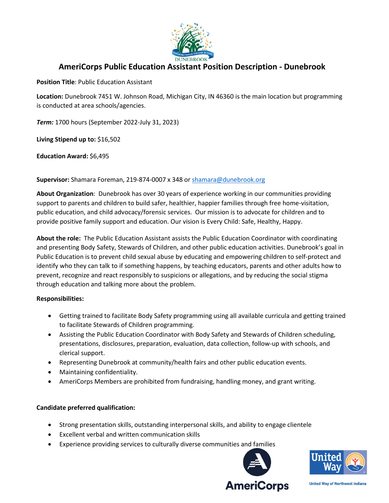

## **AmeriCorps Public Education Assistant Position Description - Dunebrook**

**Position Title**: Public Education Assistant

**Location:** Dunebrook 7451 W. Johnson Road, Michigan City, IN 46360 is the main location but programming is conducted at area schools/agencies.

*Term:* 1700 hours (September 2022-July 31, 2023)

**Living Stipend up to:** \$16,502

**Education Award:** \$6,495

**Supervisor:** Shamara Foreman, 219-874-0007 x 348 or [shamara@dunebrook.org](mailto:shamara@dunebrook.org)

**About Organization**: Dunebrook has over 30 years of experience working in our communities providing support to parents and children to build safer, healthier, happier families through free home-visitation, public education, and child advocacy/forensic services. Our mission is to advocate for children and to provide positive family support and education. Our vision is Every Child: Safe, Healthy, Happy.

**About the role:** The Public Education Assistant assists the Public Education Coordinator with coordinating and presenting Body Safety, Stewards of Children, and other public education activities. Dunebrook's goal in Public Education is to prevent child sexual abuse by educating and empowering children to self-protect and identify who they can talk to if something happens, by teaching educators, parents and other adults how to prevent, recognize and react responsibly to suspicions or allegations, and by reducing the social stigma through education and talking more about the problem.

## **Responsibilities:**

- Getting trained to facilitate Body Safety programming using all available curricula and getting trained to facilitate Stewards of Children programming.
- Assisting the Public Education Coordinator with Body Safety and Stewards of Children scheduling, presentations, disclosures, preparation, evaluation, data collection, follow-up with schools, and clerical support.
- Representing Dunebrook at community/health fairs and other public education events.
- Maintaining confidentiality.
- AmeriCorps Members are prohibited from fundraising, handling money, and grant writing.

## **Candidate preferred qualification:**

- Strong presentation skills, outstanding interpersonal skills, and ability to engage clientele
- Excellent verbal and written communication skills
- Experience providing services to culturally diverse communities and families





**United Way of Northwest Indiana**